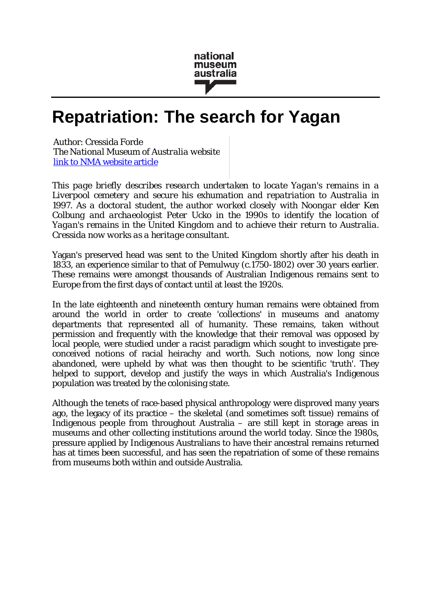

# **Repatriation: The search for Yagan**

Author: Cressida Forde *The National Museum of Australia website* [link to NMA website article](http://www.nma.gov.au/exhibitions/first_australians/resistance/yagan/repatriation)

*This page briefly describes research undertaken to locate Yagan's remains in a Liverpool cemetery and secure his exhumation and repatriation to Australia in 1997. As a doctoral student, the author worked closely with Noongar elder Ken Colbung and archaeologist Peter Ucko in the 1990s to identify the location of Yagan's remains in the United Kingdom and to achieve their return to Australia. Cressida now works as a heritage consultant.*

Yagan's preserved head was sent to the United Kingdom shortly after his death in 1833, an experience similar to that of Pemulwuy (c.1750-1802) over 30 years earlier. These remains were amongst thousands of Australian Indigenous remains sent to Europe from the first days of contact until at least the 1920s.

In the late eighteenth and nineteenth century human remains were obtained from around the world in order to create 'collections' in museums and anatomy departments that represented all of humanity. These remains, taken without permission and frequently with the knowledge that their removal was opposed by local people, were studied under a racist paradigm which sought to investigate preconceived notions of racial heirachy and worth. Such notions, now long since abandoned, were upheld by what was then thought to be scientific 'truth'. They helped to support, develop and justify the ways in which Australia's Indigenous population was treated by the colonising state.

Although the tenets of race-based physical anthropology were disproved many years ago, the legacy of its practice – the skeletal (and sometimes soft tissue) remains of Indigenous people from throughout Australia – are still kept in storage areas in museums and other collecting institutions around the world today. Since the 1980s, pressure applied by Indigenous Australians to have their ancestral remains returned has at times been successful, and has seen the repatriation of some of these remains from museums both within and outside Australia.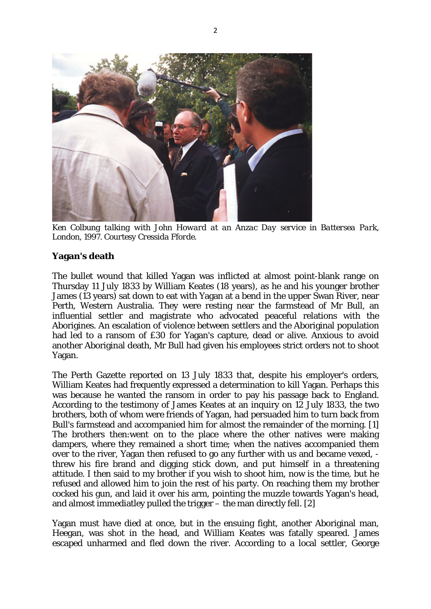

*Ken Colbung talking with John Howard at an Anzac Day service in Battersea Park, London, 1997. Courtesy Cressida Fforde.*

### **Yagan's death**

The bullet wound that killed Yagan was inflicted at almost point-blank range on Thursday 11 July 1833 by William Keates (18 years), as he and his younger brother James (13 years) sat down to eat with Yagan at a bend in the upper Swan River, near Perth, Western Australia. They were resting near the farmstead of Mr Bull, an influential settler and magistrate who advocated peaceful relations with the Aborigines. An escalation of violence between settlers and the Aboriginal population had led to a ransom of £30 for Yagan's capture, dead or alive. Anxious to avoid another Aboriginal death, Mr Bull had given his employees strict orders not to shoot Yagan.

The Perth Gazette reported on 13 July 1833 that, despite his employer's orders, William Keates had frequently expressed a determination to kill Yagan. Perhaps this was because he wanted the ransom in order to pay his passage back to England. According to the testimony of James Keates at an inquiry on 12 July 1833, the two brothers, both of whom were friends of Yagan, had persuaded him to turn back from Bull's farmstead and accompanied him for almost the remainder of the morning. [1] The brothers then:went on to the place where the other natives were making dampers, where they remained a short time; when the natives accompanied them over to the river, Yagan then refused to go any further with us and became vexed, threw his fire brand and digging stick down, and put himself in a threatening attitude. I then said to my brother if you wish to shoot him, now is the time, but he refused and allowed him to join the rest of his party. On reaching them my brother cocked his gun, and laid it over his arm, pointing the muzzle towards Yagan's head, and almost immediatley pulled the trigger – the man directly fell. [2]

Yagan must have died at once, but in the ensuing fight, another Aboriginal man, Heegan, was shot in the head, and William Keates was fatally speared. James escaped unharmed and fled down the river. According to a local settler, George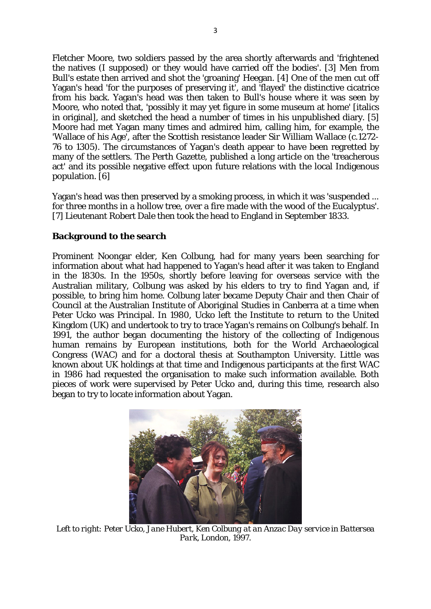Fletcher Moore, two soldiers passed by the area shortly afterwards and 'frightened the natives (I supposed) or they would have carried off the bodies'. [3] Men from Bull's estate then arrived and shot the 'groaning' Heegan. [4] One of the men cut off Yagan's head 'for the purposes of preserving it', and 'flayed' the distinctive cicatrice from his back. Yagan's head was then taken to Bull's house where it was seen by Moore, who noted that, 'possibly it may yet figure in some museum at home' [italics in original], and sketched the head a number of times in his unpublished diary. [5] Moore had met Yagan many times and admired him, calling him, for example, the 'Wallace of his Age', after the Scottish resistance leader Sir William Wallace (c.1272- 76 to 1305). The circumstances of Yagan's death appear to have been regretted by many of the settlers. The Perth Gazette, published a long article on the 'treacherous act' and its possible negative effect upon future relations with the local Indigenous population. [6]

Yagan's head was then preserved by a smoking process, in which it was 'suspended ... for three months in a hollow tree, over a fire made with the wood of the Eucalyptus'. [7] Lieutenant Robert Dale then took the head to England in September 1833.

### **Background to the search**

Prominent Noongar elder, Ken Colbung, had for many years been searching for information about what had happened to Yagan's head after it was taken to England in the 1830s. In the 1950s, shortly before leaving for overseas service with the Australian military, Colbung was asked by his elders to try to find Yagan and, if possible, to bring him home. Colbung later became Deputy Chair and then Chair of Council at the Australian Institute of Aboriginal Studies in Canberra at a time when Peter Ucko was Principal. In 1980, Ucko left the Institute to return to the United Kingdom (UK) and undertook to try to trace Yagan's remains on Colbung's behalf. In 1991, the author began documenting the history of the collecting of Indigenous human remains by European institutions, both for the World Archaeological Congress (WAC) and for a doctoral thesis at Southampton University. Little was known about UK holdings at that time and Indigenous participants at the first WAC in 1986 had requested the organisation to make such information available. Both pieces of work were supervised by Peter Ucko and, during this time, research also began to try to locate information about Yagan.



*Left to right: Peter Ucko, Jane Hubert, Ken Colbung at an Anzac Day service in Battersea Park, London, 1997.*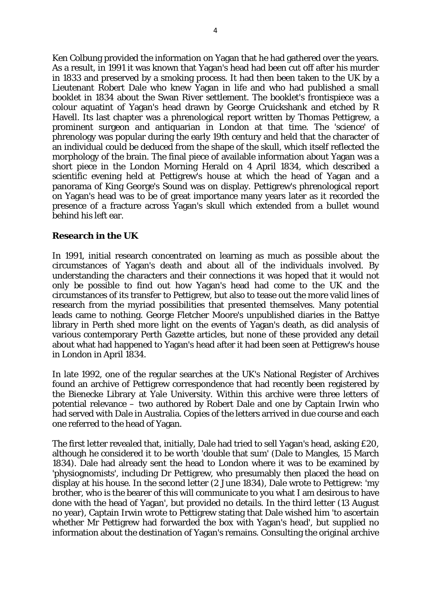Ken Colbung provided the information on Yagan that he had gathered over the years. As a result, in 1991 it was known that Yagan's head had been cut off after his murder in 1833 and preserved by a smoking process. It had then been taken to the UK by a Lieutenant Robert Dale who knew Yagan in life and who had published a small booklet in 1834 about the Swan River settlement. The booklet's frontispiece was a colour aquatint of Yagan's head drawn by George Cruickshank and etched by R Havell. Its last chapter was a phrenological report written by Thomas Pettigrew, a prominent surgeon and antiquarian in London at that time. The 'science' of phrenology was popular during the early 19th century and held that the character of an individual could be deduced from the shape of the skull, which itself reflected the morphology of the brain. The final piece of available information about Yagan was a short piece in the London Morning Herald on 4 April 1834, which described a scientific evening held at Pettigrew's house at which the head of Yagan and a panorama of King George's Sound was on display. Pettigrew's phrenological report on Yagan's head was to be of great importance many years later as it recorded the presence of a fracture across Yagan's skull which extended from a bullet wound behind his left ear.

### **Research in the UK**

In 1991, initial research concentrated on learning as much as possible about the circumstances of Yagan's death and about all of the individuals involved. By understanding the characters and their connections it was hoped that it would not only be possible to find out how Yagan's head had come to the UK and the circumstances of its transfer to Pettigrew, but also to tease out the more valid lines of research from the myriad possibilities that presented themselves. Many potential leads came to nothing. George Fletcher Moore's unpublished diaries in the Battye library in Perth shed more light on the events of Yagan's death, as did analysis of various contemporary Perth Gazette articles, but none of these provided any detail about what had happened to Yagan's head after it had been seen at Pettigrew's house in London in April 1834.

In late 1992, one of the regular searches at the UK's National Register of Archives found an archive of Pettigrew correspondence that had recently been registered by the Bienecke Library at Yale University. Within this archive were three letters of potential relevance – two authored by Robert Dale and one by Captain Irwin who had served with Dale in Australia. Copies of the letters arrived in due course and each one referred to the head of Yagan.

The first letter revealed that, initially, Dale had tried to sell Yagan's head, asking £20, although he considered it to be worth 'double that sum' (Dale to Mangles, 15 March 1834). Dale had already sent the head to London where it was to be examined by 'physiognomists', including Dr Pettigrew, who presumably then placed the head on display at his house. In the second letter (2 June 1834), Dale wrote to Pettigrew: 'my brother, who is the bearer of this will communicate to you what I am desirous to have done with the head of Yagan', but provided no details. In the third letter (13 August no year), Captain Irwin wrote to Pettigrew stating that Dale wished him 'to ascertain whether Mr Pettigrew had forwarded the box with Yagan's head', but supplied no information about the destination of Yagan's remains. Consulting the original archive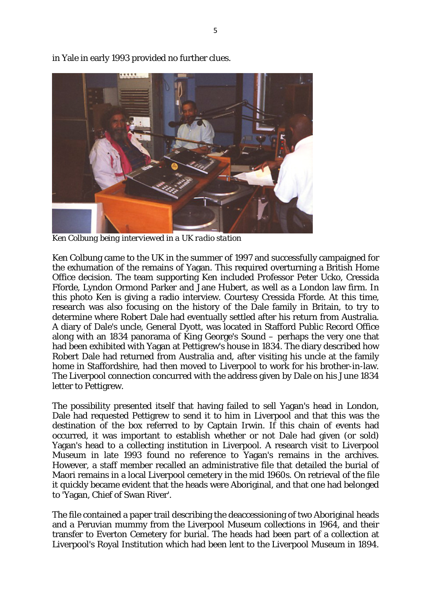

in Yale in early 1993 provided no further clues.

*Ken Colbung being interviewed in a UK radio station*

Ken Colbung came to the UK in the summer of 1997 and successfully campaigned for the exhumation of the remains of Yagan. This required overturning a British Home Office decision. The team supporting Ken included Professor Peter Ucko, Cressida Fforde, Lyndon Ormond Parker and Jane Hubert, as well as a London law firm. In this photo Ken is giving a radio interview. Courtesy Cressida Fforde. At this time, research was also focusing on the history of the Dale family in Britain, to try to determine where Robert Dale had eventually settled after his return from Australia. A diary of Dale's uncle, General Dyott, was located in Stafford Public Record Office along with an 1834 panorama of King George's Sound – perhaps the very one that had been exhibited with Yagan at Pettigrew's house in 1834. The diary described how Robert Dale had returned from Australia and, after visiting his uncle at the family home in Staffordshire, had then moved to Liverpool to work for his brother-in-law. The Liverpool connection concurred with the address given by Dale on his June 1834 letter to Pettigrew.

The possibility presented itself that having failed to sell Yagan's head in London, Dale had requested Pettigrew to send it to him in Liverpool and that this was the destination of the box referred to by Captain Irwin. If this chain of events had occurred, it was important to establish whether or not Dale had given (or sold) Yagan's head to a collecting institution in Liverpool. A research visit to Liverpool Museum in late 1993 found no reference to Yagan's remains in the archives. However, a staff member recalled an administrative file that detailed the burial of Maori remains in a local Liverpool cemetery in the mid 1960s. On retrieval of the file it quickly became evident that the heads were Aboriginal, and that one had belonged to 'Yagan, Chief of Swan River'.

The file contained a paper trail describing the deaccessioning of two Aboriginal heads and a Peruvian mummy from the Liverpool Museum collections in 1964, and their transfer to Everton Cemetery for burial. The heads had been part of a collection at Liverpool's Royal Institution which had been lent to the Liverpool Museum in 1894.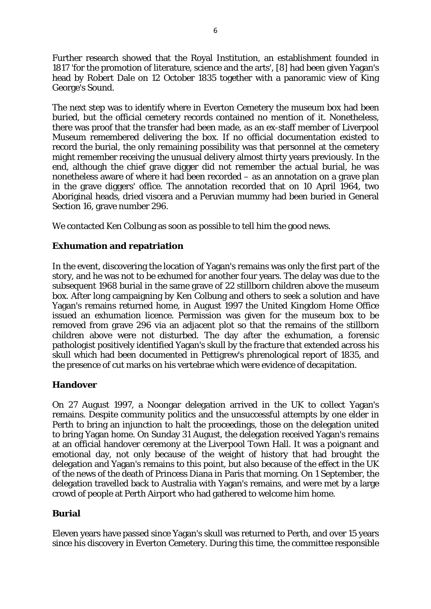Further research showed that the Royal Institution, an establishment founded in 1817 'for the promotion of literature, science and the arts', [8] had been given Yagan's head by Robert Dale on 12 October 1835 together with a panoramic view of King George's Sound.

The next step was to identify where in Everton Cemetery the museum box had been buried, but the official cemetery records contained no mention of it. Nonetheless, there was proof that the transfer had been made, as an ex-staff member of Liverpool Museum remembered delivering the box. If no official documentation existed to record the burial, the only remaining possibility was that personnel at the cemetery might remember receiving the unusual delivery almost thirty years previously. In the end, although the chief grave digger did not remember the actual burial, he was nonetheless aware of where it had been recorded – as an annotation on a grave plan in the grave diggers' office. The annotation recorded that on 10 April 1964, two Aboriginal heads, dried viscera and a Peruvian mummy had been buried in General Section 16, grave number 296.

We contacted Ken Colbung as soon as possible to tell him the good news.

### **Exhumation and repatriation**

In the event, discovering the location of Yagan's remains was only the first part of the story, and he was not to be exhumed for another four years. The delay was due to the subsequent 1968 burial in the same grave of 22 stillborn children above the museum box. After long campaigning by Ken Colbung and others to seek a solution and have Yagan's remains returned home, in August 1997 the United Kingdom Home Office issued an exhumation licence. Permission was given for the museum box to be removed from grave 296 via an adjacent plot so that the remains of the stillborn children above were not disturbed. The day after the exhumation, a forensic pathologist positively identified Yagan's skull by the fracture that extended across his skull which had been documented in Pettigrew's phrenological report of 1835, and the presence of cut marks on his vertebrae which were evidence of decapitation.

### **Handover**

On 27 August 1997, a Noongar delegation arrived in the UK to collect Yagan's remains. Despite community politics and the unsuccessful attempts by one elder in Perth to bring an injunction to halt the proceedings, those on the delegation united to bring Yagan home. On Sunday 31 August, the delegation received Yagan's remains at an official handover ceremony at the Liverpool Town Hall. It was a poignant and emotional day, not only because of the weight of history that had brought the delegation and Yagan's remains to this point, but also because of the effect in the UK of the news of the death of Princess Diana in Paris that morning. On 1 September, the delegation travelled back to Australia with Yagan's remains, and were met by a large crowd of people at Perth Airport who had gathered to welcome him home.

### **Burial**

Eleven years have passed since Yagan's skull was returned to Perth, and over 15 years since his discovery in Everton Cemetery. During this time, the committee responsible